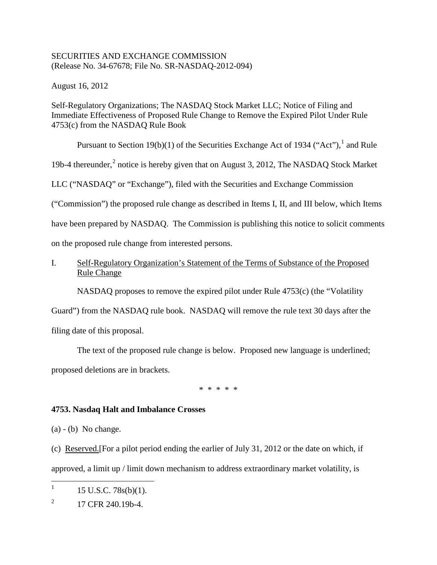## SECURITIES AND EXCHANGE COMMISSION (Release No. 34-67678; File No. SR-NASDAQ-2012-094)

August 16, 2012

Self-Regulatory Organizations; The NASDAQ Stock Market LLC; Notice of Filing and Immediate Effectiveness of Proposed Rule Change to Remove the Expired Pilot Under Rule 4753(c) from the NASDAQ Rule Book

Pursuant to Section [1](#page-0-0)9(b)(1) of the Securities Exchange Act of 1934 ("Act"),  $^1$  and Rule

19b-4 thereunder,<sup>[2](#page-0-1)</sup> notice is hereby given that on August 3, 2012, The NASDAQ Stock Market

LLC ("NASDAQ" or "Exchange"), filed with the Securities and Exchange Commission

("Commission") the proposed rule change as described in Items I, II, and III below, which Items

have been prepared by NASDAQ. The Commission is publishing this notice to solicit comments

on the proposed rule change from interested persons.

I. Self-Regulatory Organization's Statement of the Terms of Substance of the Proposed Rule Change

NASDAQ proposes to remove the expired pilot under Rule 4753(c) (the "Volatility

Guard") from the NASDAQ rule book. NASDAQ will remove the rule text 30 days after the filing date of this proposal.

The text of the proposed rule change is below. Proposed new language is underlined; proposed deletions are in brackets.

\* \* \* \* \*

# **4753. Nasdaq Halt and Imbalance Crosses**

 $(a) - (b)$  No change.

(c) Reserved.[For a pilot period ending the earlier of July 31, 2012 or the date on which, if approved, a limit up / limit down mechanism to address extraordinary market volatility, is

<span id="page-0-0"></span><sup>&</sup>lt;sup>1</sup> 15 U.S.C. 78s(b)(1).

<span id="page-0-1"></span> $^{2}$  17 CFR 240.19b-4.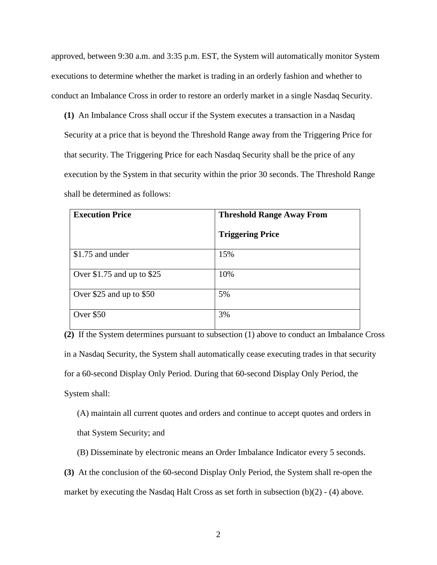approved, between 9:30 a.m. and 3:35 p.m. EST, the System will automatically monitor System executions to determine whether the market is trading in an orderly fashion and whether to conduct an Imbalance Cross in order to restore an orderly market in a single Nasdaq Security.

**(1)** An Imbalance Cross shall occur if the System executes a transaction in a Nasdaq Security at a price that is beyond the Threshold Range away from the Triggering Price for that security. The Triggering Price for each Nasdaq Security shall be the price of any execution by the System in that security within the prior 30 seconds. The Threshold Range shall be determined as follows:

| <b>Execution Price</b>       | <b>Threshold Range Away From</b> |
|------------------------------|----------------------------------|
|                              | <b>Triggering Price</b>          |
| \$1.75 and under             | 15%                              |
| Over $$1.75$ and up to $$25$ | 10%                              |
| Over \$25 and up to \$50     | 5%                               |
| Over \$50                    | 3%                               |

**(2)** If the System determines pursuant to subsection (1) above to conduct an Imbalance Cross in a Nasdaq Security, the System shall automatically cease executing trades in that security for a 60-second Display Only Period. During that 60-second Display Only Period, the System shall:

(A) maintain all current quotes and orders and continue to accept quotes and orders in that System Security; and

(B) Disseminate by electronic means an Order Imbalance Indicator every 5 seconds.

**(3)** At the conclusion of the 60-second Display Only Period, the System shall re-open the market by executing the Nasdaq Halt Cross as set forth in subsection (b)(2) - (4) above.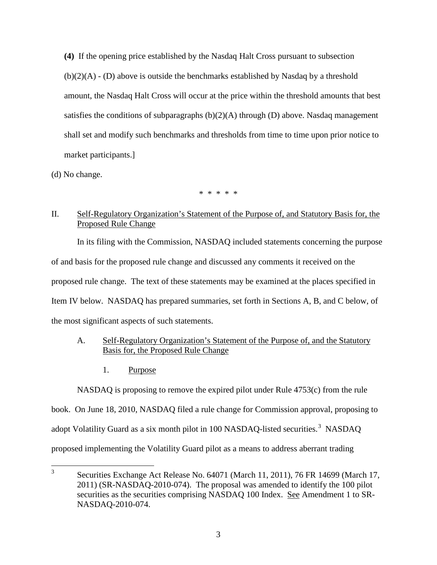**(4)** If the opening price established by the Nasdaq Halt Cross pursuant to subsection  $(b)(2)(A)$  - (D) above is outside the benchmarks established by Nasdaq by a threshold amount, the Nasdaq Halt Cross will occur at the price within the threshold amounts that best satisfies the conditions of subparagraphs  $(b)(2)(A)$  through  $(D)$  above. Nasdaq management shall set and modify such benchmarks and thresholds from time to time upon prior notice to market participants.]

(d) No change.

\* \* \* \* \*

# II. Self-Regulatory Organization's Statement of the Purpose of, and Statutory Basis for, the Proposed Rule Change

In its filing with the Commission, NASDAQ included statements concerning the purpose of and basis for the proposed rule change and discussed any comments it received on the proposed rule change. The text of these statements may be examined at the places specified in Item IV below. NASDAQ has prepared summaries, set forth in Sections A, B, and C below, of the most significant aspects of such statements.

## A. Self-Regulatory Organization's Statement of the Purpose of, and the Statutory Basis for, the Proposed Rule Change

1. Purpose

NASDAQ is proposing to remove the expired pilot under Rule 4753(c) from the rule

book. On June 18, 2010, NASDAQ filed a rule change for Commission approval, proposing to

adopt Volatility Guard as a six month pilot in 100 NASDAQ-listed securities.<sup>[3](#page-2-0)</sup> NASDAQ

proposed implementing the Volatility Guard pilot as a means to address aberrant trading

<span id="page-2-0"></span><sup>&</sup>lt;sup>3</sup> Securities Exchange Act Release No. 64071 (March 11, 2011), 76 FR 14699 (March 17, 2011) (SR-NASDAQ-2010-074). The proposal was amended to identify the 100 pilot securities as the securities comprising NASDAQ 100 Index. See Amendment 1 to SR-NASDAQ-2010-074.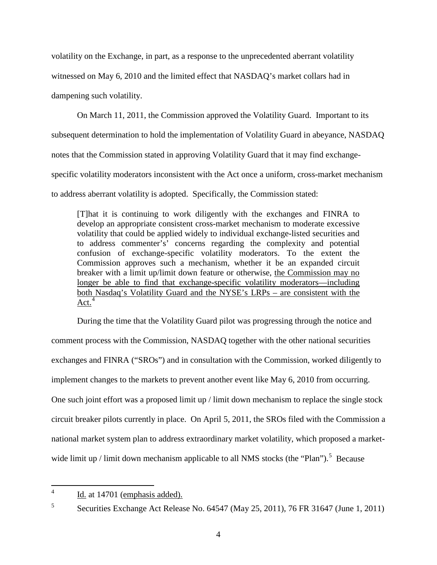volatility on the Exchange, in part, as a response to the unprecedented aberrant volatility witnessed on May 6, 2010 and the limited effect that NASDAQ's market collars had in dampening such volatility.

On March 11, 2011, the Commission approved the Volatility Guard. Important to its subsequent determination to hold the implementation of Volatility Guard in abeyance, NASDAQ notes that the Commission stated in approving Volatility Guard that it may find exchangespecific volatility moderators inconsistent with the Act once a uniform, cross-market mechanism to address aberrant volatility is adopted. Specifically, the Commission stated:

[T]hat it is continuing to work diligently with the exchanges and FINRA to develop an appropriate consistent cross-market mechanism to moderate excessive volatility that could be applied widely to individual exchange-listed securities and to address commenter's' concerns regarding the complexity and potential confusion of exchange-specific volatility moderators. To the extent the Commission approves such a mechanism, whether it be an expanded circuit breaker with a limit up/limit down feature or otherwise, the Commission may no longer be able to find that exchange-specific volatility moderators—including both Nasdaq's Volatility Guard and the NYSE's LRPs – are consistent with the  $Act.<sup>4</sup>$  $Act.<sup>4</sup>$  $Act.<sup>4</sup>$ 

During the time that the Volatility Guard pilot was progressing through the notice and comment process with the Commission, NASDAQ together with the other national securities exchanges and FINRA ("SROs") and in consultation with the Commission, worked diligently to implement changes to the markets to prevent another event like May 6, 2010 from occurring. One such joint effort was a proposed limit up / limit down mechanism to replace the single stock circuit breaker pilots currently in place. On April 5, 2011, the SROs filed with the Commission a national market system plan to address extraordinary market volatility, which proposed a market-wide limit up / limit down mechanism applicable to all NMS stocks (the "Plan").<sup>[5](#page-3-1)</sup> Because

<span id="page-3-1"></span><span id="page-3-0"></span><sup>5</sup> Securities Exchange Act Release No. 64547 (May 25, 2011), 76 FR 31647 (June 1, 2011)

 $4$  Id. at 14701 (emphasis added).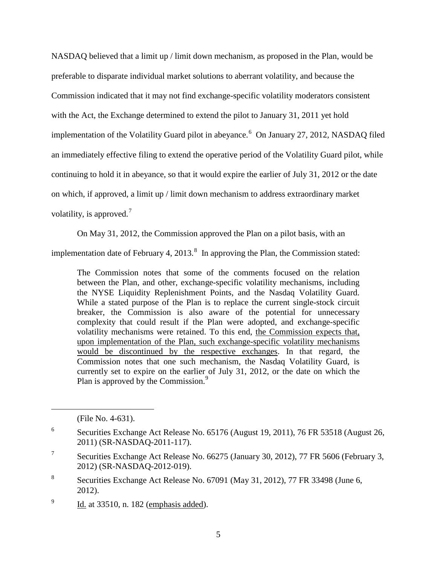NASDAQ believed that a limit up / limit down mechanism, as proposed in the Plan, would be preferable to disparate individual market solutions to aberrant volatility, and because the Commission indicated that it may not find exchange-specific volatility moderators consistent with the Act, the Exchange determined to extend the pilot to January 31, 2011 yet hold implementation of the Volatility Guard pilot in abeyance.<sup>[6](#page-4-0)</sup> On January 27, 2012, NASDAQ filed an immediately effective filing to extend the operative period of the Volatility Guard pilot, while continuing to hold it in abeyance, so that it would expire the earlier of July 31, 2012 or the date on which, if approved, a limit up / limit down mechanism to address extraordinary market volatility, is approved.<sup>[7](#page-4-1)</sup>

On May 31, 2012, the Commission approved the Plan on a pilot basis, with an

implementation date of February 4, 2013. $^8$  $^8$  In approving the Plan, the Commission stated:

The Commission notes that some of the comments focused on the relation between the Plan, and other, exchange-specific volatility mechanisms, including the NYSE Liquidity Replenishment Points, and the Nasdaq Volatility Guard. While a stated purpose of the Plan is to replace the current single-stock circuit breaker, the Commission is also aware of the potential for unnecessary complexity that could result if the Plan were adopted, and exchange-specific volatility mechanisms were retained. To this end, the Commission expects that, upon implementation of the Plan, such exchange-specific volatility mechanisms would be discontinued by the respective exchanges. In that regard, the Commission notes that one such mechanism, the Nasdaq Volatility Guard, is currently set to expire on the earlier of July 31, 2012, or the date on which the Plan is approved by the Commission.<sup>[9](#page-4-3)</sup>

 $\overline{a}$ 

<span id="page-4-3"></span> $\frac{9}{10}$  Id. at 33510, n. 182 (emphasis added).

<sup>(</sup>File No. 4-631).

<span id="page-4-0"></span><sup>6</sup> Securities Exchange Act Release No. 65176 (August 19, 2011), 76 FR 53518 (August 26, 2011) (SR-NASDAQ-2011-117).

<span id="page-4-1"></span><sup>&</sup>lt;sup>7</sup> Securities Exchange Act Release No. 66275 (January 30, 2012), 77 FR 5606 (February 3, 2012) (SR-NASDAQ-2012-019).

<span id="page-4-2"></span><sup>8</sup> Securities Exchange Act Release No. 67091 (May 31, 2012), 77 FR 33498 (June 6, 2012).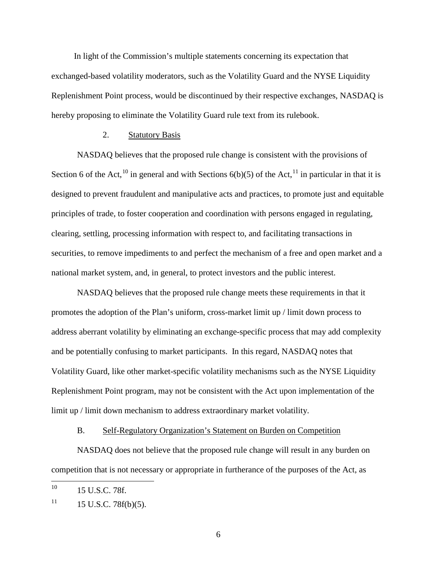In light of the Commission's multiple statements concerning its expectation that exchanged-based volatility moderators, such as the Volatility Guard and the NYSE Liquidity Replenishment Point process, would be discontinued by their respective exchanges, NASDAQ is hereby proposing to eliminate the Volatility Guard rule text from its rulebook.

### 2. Statutory Basis

NASDAQ believes that the proposed rule change is consistent with the provisions of Section 6 of the Act,<sup>[10](#page-5-0)</sup> in general and with Sections  $6(b)(5)$  of the Act,<sup>[11](#page-5-1)</sup> in particular in that it is designed to prevent fraudulent and manipulative acts and practices, to promote just and equitable principles of trade, to foster cooperation and coordination with persons engaged in regulating, clearing, settling, processing information with respect to, and facilitating transactions in securities, to remove impediments to and perfect the mechanism of a free and open market and a national market system, and, in general, to protect investors and the public interest.

NASDAQ believes that the proposed rule change meets these requirements in that it promotes the adoption of the Plan's uniform, cross-market limit up / limit down process to address aberrant volatility by eliminating an exchange-specific process that may add complexity and be potentially confusing to market participants. In this regard, NASDAQ notes that Volatility Guard, like other market-specific volatility mechanisms such as the NYSE Liquidity Replenishment Point program, may not be consistent with the Act upon implementation of the limit up / limit down mechanism to address extraordinary market volatility.

#### B. Self-Regulatory Organization's Statement on Burden on Competition

NASDAQ does not believe that the proposed rule change will result in any burden on competition that is not necessary or appropriate in furtherance of the purposes of the Act, as

<span id="page-5-0"></span> $10$  15 U.S.C. 78f.

<span id="page-5-1"></span> $11$  15 U.S.C. 78f(b)(5).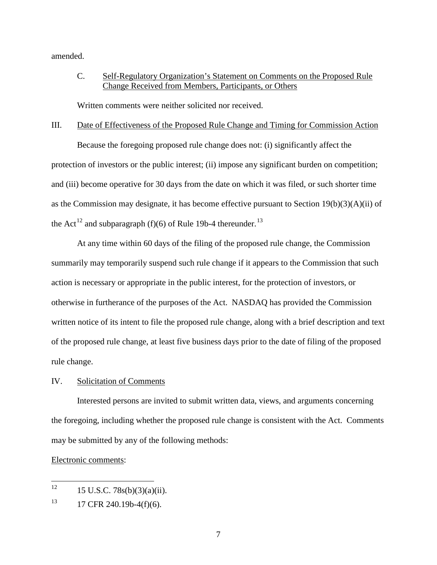amended.

# C. Self-Regulatory Organization's Statement on Comments on the Proposed Rule Change Received from Members, Participants, or Others

Written comments were neither solicited nor received.

#### III. Date of Effectiveness of the Proposed Rule Change and Timing for Commission Action

Because the foregoing proposed rule change does not: (i) significantly affect the protection of investors or the public interest; (ii) impose any significant burden on competition; and (iii) become operative for 30 days from the date on which it was filed, or such shorter time as the Commission may designate, it has become effective pursuant to Section 19(b)(3)(A)(ii) of the Act<sup>[12](#page-6-0)</sup> and subparagraph (f)(6) of Rule 19b-4 thereunder.<sup>[13](#page-6-1)</sup>

At any time within 60 days of the filing of the proposed rule change, the Commission summarily may temporarily suspend such rule change if it appears to the Commission that such action is necessary or appropriate in the public interest, for the protection of investors, or otherwise in furtherance of the purposes of the Act. NASDAQ has provided the Commission written notice of its intent to file the proposed rule change, along with a brief description and text of the proposed rule change, at least five business days prior to the date of filing of the proposed rule change.

### IV. Solicitation of Comments

Interested persons are invited to submit written data, views, and arguments concerning the foregoing, including whether the proposed rule change is consistent with the Act. Comments may be submitted by any of the following methods:

### Electronic comments:

<span id="page-6-0"></span><sup>&</sup>lt;sup>12</sup> 15 U.S.C. 78s(b)(3)(a)(ii).

<span id="page-6-1"></span> $13$  17 CFR 240.19b-4(f)(6).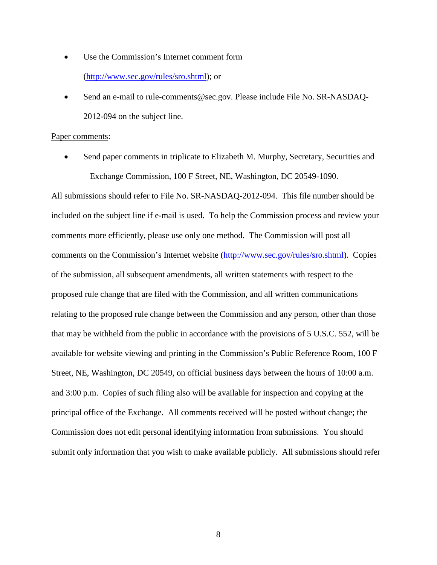- Use the Commission's Internet comment form [\(http://www.sec.gov/rules/sro.shtml\)](http://www.sec.gov/rules/sro.shtml); or
- Send an e-mail to rule-comments@sec.gov. Please include File No. SR-NASDAQ-2012-094 on the subject line.

#### Paper comments:

Send paper comments in triplicate to Elizabeth M. Murphy, Secretary, Securities and Exchange Commission, 100 F Street, NE, Washington, DC 20549-1090.

All submissions should refer to File No. SR-NASDAQ-2012-094. This file number should be included on the subject line if e-mail is used. To help the Commission process and review your comments more efficiently, please use only one method. The Commission will post all comments on the Commission's Internet website [\(http://www.sec.gov/rules/sro.shtml\)](http://www.sec.gov/rules/sro.shtml). Copies of the submission, all subsequent amendments, all written statements with respect to the proposed rule change that are filed with the Commission, and all written communications relating to the proposed rule change between the Commission and any person, other than those that may be withheld from the public in accordance with the provisions of 5 U.S.C. 552, will be available for website viewing and printing in the Commission's Public Reference Room, 100 F Street, NE, Washington, DC 20549, on official business days between the hours of 10:00 a.m. and 3:00 p.m. Copies of such filing also will be available for inspection and copying at the principal office of the Exchange. All comments received will be posted without change; the Commission does not edit personal identifying information from submissions. You should submit only information that you wish to make available publicly. All submissions should refer